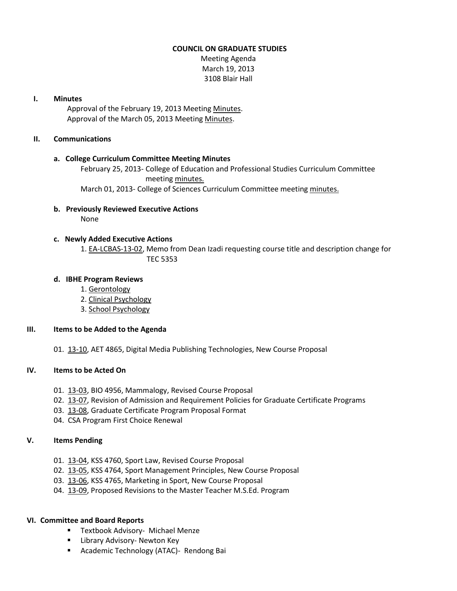#### **COUNCIL ON GRADUATE STUDIES**

Meeting Agenda March 19, 2013 3108 Blair Hall

#### **I. Minutes**

Approval of the February 19, 2013 Meetin[g Minutes.](http://castle.eiu.edu/eiucgs/currentminutes/Minutes02-19-13.pdf) Approval of the March 05, 2013 Meetin[g Minutes.](http://castle.eiu.edu/eiucgs/currentminutes/Minutes03-05-13.pdf)

### **II. Communications**

#### **a. College Curriculum Committee Meeting Minutes**

February 25, 2013- College of Education and Professional Studies Curriculum Committee meeting [minutes.](http://castle.eiu.edu/~eiucgs/currentagendaitems/CEPSMin02-25-13.pdf) March 01, 2013- College of Sciences Curriculum Committee meeting [minutes.](http://castle.eiu.edu/~eiucgs/currentagendaitems/COSMin03-01-13.pdf)

**b. Previously Reviewed Executive Actions**

None

# **c. Newly Added Executive Actions**

1. [EA-LCBAS-13-02,](http://castle.eiu.edu/~eiucgs/exec-actions/EA-LCBAS-13-02.pdf) Memo from Dean Izadi requesting course title and description change for TEC 5353

#### **d. IBHE Program Reviews**

- 1. [Gerontology](http://castle.eiu.edu/~eiucgs/documents/IBHE-Gerontology.pdf)
- 2. [Clinical Psychology](http://castle.eiu.edu/~eiucgs/documents/IBHE-ClinicalPsychology.pdf)
- 3. [School Psychology](http://castle.eiu.edu/~eiucgs/documents/IBHE-SchoolPsychology.pdf)

# **III. Items to be Added to the Agenda**

01. [13-10,](http://castle.eiu.edu/~eiucgs/currentagendaitems/agenda13-10.pdf) AET 4865, Digital Media Publishing Technologies, New Course Proposal

# **IV. Items to be Acted On**

- 01. [13-03,](http://castle.eiu.edu/~eiucgs/currentagendaitems/agenda13-03.pdf) BIO 4956, Mammalogy, Revised Course Proposal
- 02. [13-07,](http://castle.eiu.edu/~eiucgs/currentagendaitems/agenda13-07.pdf) Revision of Admission and Requirement Policies for Graduate Certificate Programs
- 03. [13-08,](http://castle.eiu.edu/~eiucgs/currentagendaitems/agenda13-08.pdf) Graduate Certificate Program Proposal Format
- 04. CSA Program First Choice Renewal

# **V. Items Pending**

- 01. [13-04,](http://castle.eiu.edu/~eiucgs/currentagendaitems/agenda13-04.pdf) KSS 4760, Sport Law, Revised Course Proposal
- 02. [13-05,](http://castle.eiu.edu/~eiucgs/currentagendaitems/agenda13-05.pdf) KSS 4764, Sport Management Principles, New Course Proposal
- 03. [13-06,](http://castle.eiu.edu/~eiucgs/currentagendaitems/agenda13-06.pdf) KSS 4765, Marketing in Sport, New Course Proposal
- 04. [13-09,](http://castle.eiu.edu/~eiucgs/currentagendaitems/agenda13-09.pdf) Proposed Revisions to the Master Teacher M.S.Ed. Program

# **VI. Committee and Board Reports**

- **Textbook Advisory- Michael Menze**
- **E** Library Advisory- Newton Key
- **Academic Technology (ATAC)- Rendong Bai**